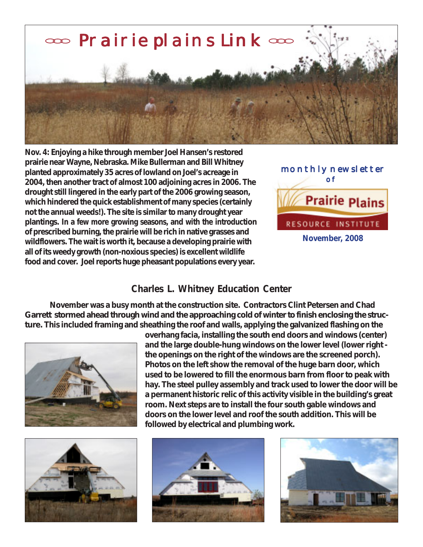

**Nov. 4: Enjoying a hike through member Joel Hansen's restored prairie near Wayne, Nebraska. Mike Bullerman and Bill Whitney planted approximately 35 acres of lowland on Joel's acreage in 2004, then another tract of almost 100 adjoining acres in 2006. The drought still lingered in the early part of the 2006 growing season, which hindered the quick establishment of many species (certainly not the annual weeds!). The site is similar to many drought year plantings. In a few more growing seasons, and with the introduction of prescribed burning, the prairie will be rich in native grasses and wildflowers. The wait is worth it, because a developing prairie with all of its weedy growth (non-noxious species) is excellent wildlife food and cover. Joel reports huge pheasant populations every year.**



## **Charles L. Whitney Education Center**

**November was a busy month at the construction site. Contractors Clint Petersen and Chad Garrett stormed ahead through wind and the approaching cold of winter to finish enclosing the structure. This included framing and sheathing the roof and walls, applying the galvanized flashing on the**



**used to be lowered to fill the enormous barn from floor to peak with hay. The steel pulley assembly and track used to lower the door will be a permanent historic relic of this activity visible in the building's great room. Next steps are to install the four south gable windows and doors on the lower level and roof the south addition. This will be followed by electrical and plumbing work.**

**overhang facia, installing the south end doors and windows (center) and the large double-hung windows on the lower level (lower right the openings on the right of the windows are the screened porch). Photos on the left show the removal of the huge barn door, which**